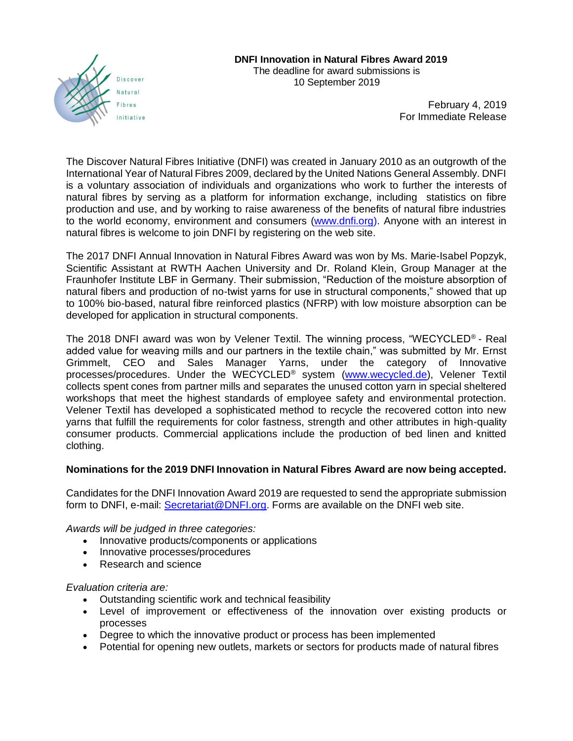

February 4, 2019 For Immediate Release

The Discover Natural Fibres Initiative (DNFI) was created in January 2010 as an outgrowth of the International Year of Natural Fibres 2009, declared by the United Nations General Assembly. DNFI is a voluntary association of individuals and organizations who work to further the interests of natural fibres by serving as a platform for information exchange, including statistics on fibre production and use, and by working to raise awareness of the benefits of natural fibre industries to the world economy, environment and consumers [\(www.dnfi.org\)](http://www.dnfi.org/). Anyone with an interest in natural fibres is welcome to join DNFI by registering on the web site.

The 2017 DNFI Annual Innovation in Natural Fibres Award was won by Ms. Marie-Isabel Popzyk, Scientific Assistant at RWTH Aachen University and Dr. Roland Klein, Group Manager at the Fraunhofer Institute LBF in Germany. Their submission, "Reduction of the moisture absorption of natural fibers and production of no-twist yarns for use in structural components," showed that up to 100% bio-based, natural fibre reinforced plastics (NFRP) with low moisture absorption can be developed for application in structural components.

The 2018 DNFI award was won by Velener Textil. The winning process, "WECYCLED® - Real added value for weaving mills and our partners in the textile chain," was submitted by Mr. Ernst Grimmelt, CEO and Sales Manager Yarns, under the category of Innovative processes/procedures. Under the WECYCLED® system [\(www.wecycled.de\)](http://www.wecycled.de/), Velener Textil collects spent cones from partner mills and separates the unused cotton yarn in special sheltered workshops that meet the highest standards of employee safety and environmental protection. Velener Textil has developed a sophisticated method to recycle the recovered cotton into new yarns that fulfill the requirements for color fastness, strength and other attributes in high-quality consumer products. Commercial applications include the production of bed linen and knitted clothing.

## **Nominations for the 2019 DNFI Innovation in Natural Fibres Award are now being accepted.**

Candidates for the DNFI Innovation Award 2019 are requested to send the appropriate submission form to DNFI, e-mail: [Secretariat@DNFI.org.](mailto:Secretariat@DNFI.org) Forms are available on the DNFI web site.

*Awards will be judged in three categories:* 

- Innovative products/components or applications
- Innovative processes/procedures
- Research and science

*Evaluation criteria are:*

- Outstanding scientific work and technical feasibility
- Level of improvement or effectiveness of the innovation over existing products or processes
- Degree to which the innovative product or process has been implemented
- Potential for opening new outlets, markets or sectors for products made of natural fibres